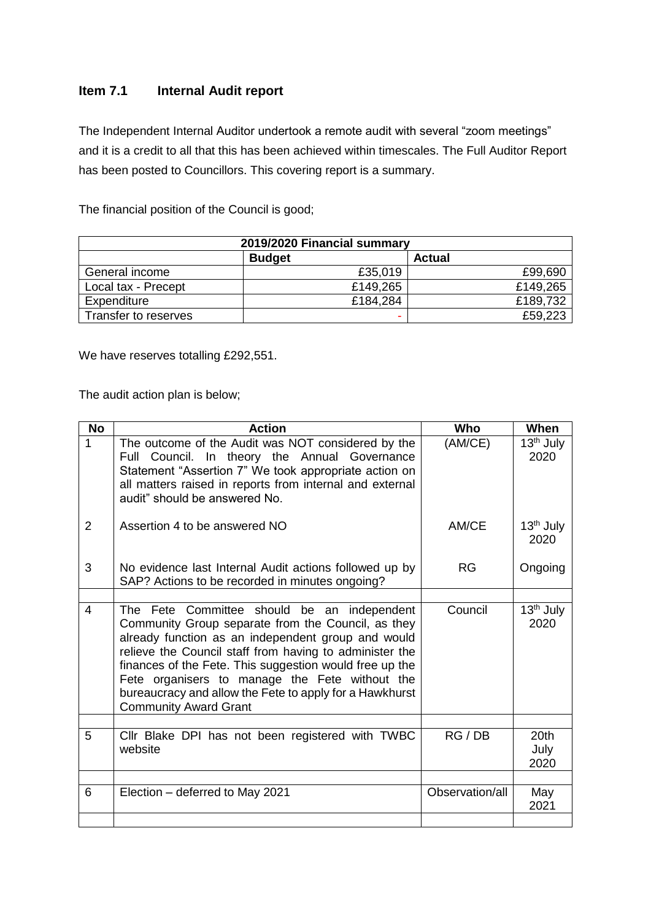# **Item 7.1 Internal Audit report**

The Independent Internal Auditor undertook a remote audit with several "zoom meetings" and it is a credit to all that this has been achieved within timescales. The Full Auditor Report has been posted to Councillors. This covering report is a summary.

The financial position of the Council is good;

| 2019/2020 Financial summary |               |               |  |  |  |
|-----------------------------|---------------|---------------|--|--|--|
|                             | <b>Budget</b> | <b>Actual</b> |  |  |  |
| General income              | £35,019       | £99,690       |  |  |  |
| Local tax - Precept         | £149,265      | £149,265      |  |  |  |
| Expenditure                 | £184,284      | £189,732      |  |  |  |
| Transfer to reserves        |               | £59,223       |  |  |  |

We have reserves totalling £292,551.

The audit action plan is below;

| <b>No</b>      | <b>Action</b>                                                                                                                                                                                                                                                                                                                                                                                                              | <b>Who</b>      | When                             |
|----------------|----------------------------------------------------------------------------------------------------------------------------------------------------------------------------------------------------------------------------------------------------------------------------------------------------------------------------------------------------------------------------------------------------------------------------|-----------------|----------------------------------|
| 1              | The outcome of the Audit was NOT considered by the<br>Full Council. In theory the Annual Governance<br>Statement "Assertion 7" We took appropriate action on<br>all matters raised in reports from internal and external<br>audit" should be answered No.                                                                                                                                                                  | (AM/CE)         | 13 <sup>th</sup> July<br>2020    |
| $\overline{2}$ | Assertion 4 to be answered NO                                                                                                                                                                                                                                                                                                                                                                                              | AM/CE           | $13th$ July<br>2020              |
| 3              | No evidence last Internal Audit actions followed up by<br>SAP? Actions to be recorded in minutes ongoing?                                                                                                                                                                                                                                                                                                                  | <b>RG</b>       | Ongoing                          |
| 4              | The Fete Committee should be an independent<br>Community Group separate from the Council, as they<br>already function as an independent group and would<br>relieve the Council staff from having to administer the<br>finances of the Fete. This suggestion would free up the<br>Fete organisers to manage the Fete without the<br>bureaucracy and allow the Fete to apply for a Hawkhurst<br><b>Community Award Grant</b> | Council         | $13th$ July<br>2020              |
|                |                                                                                                                                                                                                                                                                                                                                                                                                                            |                 |                                  |
| 5              | Cllr Blake DPI has not been registered with TWBC<br>website                                                                                                                                                                                                                                                                                                                                                                | RG / DB         | 20 <sup>th</sup><br>July<br>2020 |
| 6              | Election – deferred to May 2021                                                                                                                                                                                                                                                                                                                                                                                            | Observation/all |                                  |
|                |                                                                                                                                                                                                                                                                                                                                                                                                                            |                 | May<br>2021                      |
|                |                                                                                                                                                                                                                                                                                                                                                                                                                            |                 |                                  |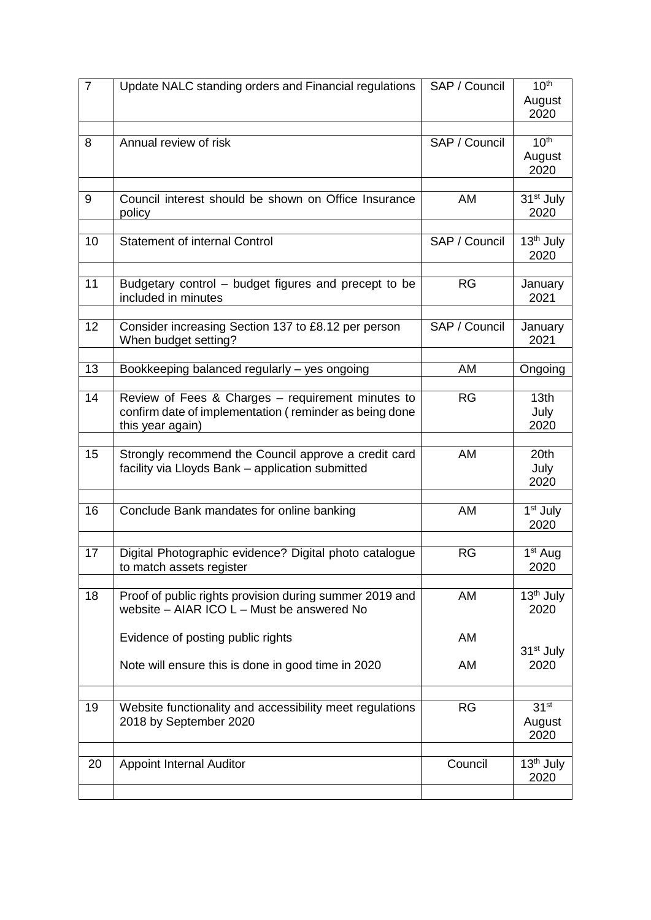| $\overline{7}$ | Update NALC standing orders and Financial regulations                                                 | SAP / Council | 10 <sup>th</sup>                  |
|----------------|-------------------------------------------------------------------------------------------------------|---------------|-----------------------------------|
|                |                                                                                                       |               | August<br>2020                    |
|                |                                                                                                       |               |                                   |
| 8              | Annual review of risk                                                                                 | SAP / Council | 10 <sup>th</sup>                  |
|                |                                                                                                       |               | August<br>2020                    |
|                |                                                                                                       |               |                                   |
| 9              | Council interest should be shown on Office Insurance                                                  | AM            | 31 <sup>st</sup> July             |
|                | policy                                                                                                |               | 2020                              |
| 10             | <b>Statement of internal Control</b>                                                                  | SAP / Council | 13 <sup>th</sup> July             |
|                |                                                                                                       |               | 2020                              |
|                |                                                                                                       |               |                                   |
| 11             | Budgetary control - budget figures and precept to be<br>included in minutes                           | <b>RG</b>     | January<br>2021                   |
| 12             | Consider increasing Section 137 to £8.12 per person                                                   | SAP / Council | January                           |
|                | When budget setting?                                                                                  |               | 2021                              |
|                |                                                                                                       |               |                                   |
| 13             | Bookkeeping balanced regularly - yes ongoing                                                          | AM            | Ongoing                           |
| 14             | Review of Fees & Charges – requirement minutes to                                                     | <b>RG</b>     | 13 <sub>th</sub>                  |
|                | confirm date of implementation (reminder as being done                                                |               | July                              |
|                | this year again)                                                                                      |               | 2020                              |
| 15             | Strongly recommend the Council approve a credit card                                                  | AM            | 20th                              |
|                | facility via Lloyds Bank - application submitted                                                      |               | July                              |
|                |                                                                                                       |               | 2020                              |
| 16             | Conclude Bank mandates for online banking                                                             | AM            | $\overline{1}$ <sup>st</sup> July |
|                |                                                                                                       |               | 2020                              |
| 17             | Digital Photographic evidence? Digital photo catalogue                                                | <b>RG</b>     | $1st$ Aug                         |
|                | to match assets register                                                                              |               | 2020                              |
|                |                                                                                                       |               |                                   |
| 18             | Proof of public rights provision during summer 2019 and<br>website – AIAR ICO L – Must be answered No | AM            | 13 <sup>th</sup> July             |
|                |                                                                                                       |               | 2020                              |
|                | Evidence of posting public rights                                                                     | AM            |                                   |
|                |                                                                                                       |               | 31 <sup>st</sup> July             |
|                | Note will ensure this is done in good time in 2020                                                    | AM            | 2020                              |
|                |                                                                                                       |               |                                   |
| 19             | Website functionality and accessibility meet regulations<br>2018 by September 2020                    | <b>RG</b>     | 31 <sup>st</sup><br>August        |
|                |                                                                                                       |               | 2020                              |
|                |                                                                                                       |               |                                   |
| 20             | <b>Appoint Internal Auditor</b>                                                                       | Council       | 13 <sup>th</sup> July<br>2020     |
|                |                                                                                                       |               |                                   |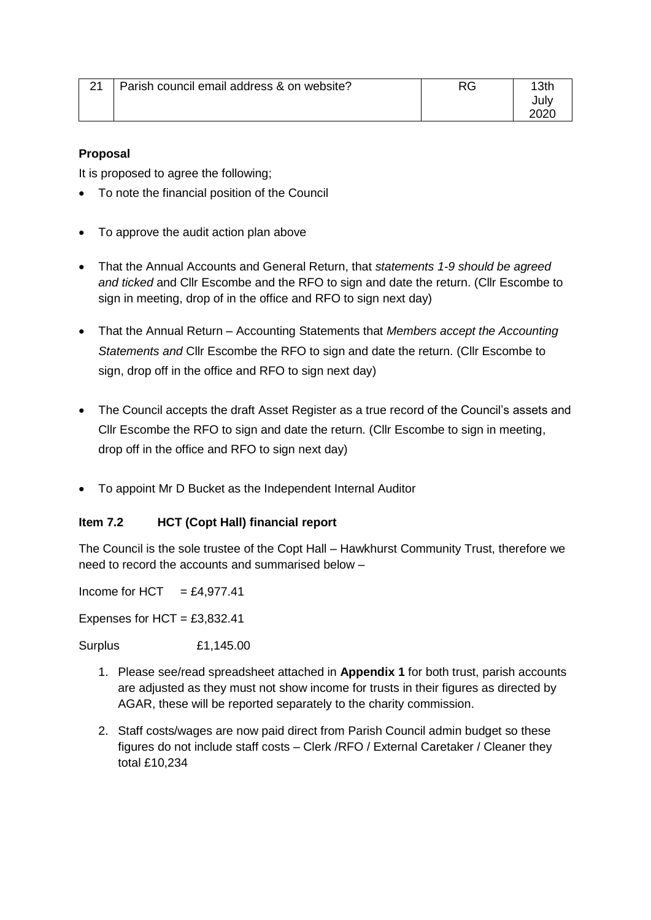| 21 | Parish council email address & on website? | RG. | イクト  |
|----|--------------------------------------------|-----|------|
|    |                                            |     | July |
|    |                                            |     |      |

#### **Proposal**

It is proposed to agree the following;

- To note the financial position of the Council
- To approve the audit action plan above
- That the Annual Accounts and General Return, that *statements 1-9 should be agreed and ticked* and Cllr Escombe and the RFO to sign and date the return. (Cllr Escombe to sign in meeting, drop of in the office and RFO to sign next day)
- That the Annual Return Accounting Statements that *Members accept the Accounting Statements and* Cllr Escombe the RFO to sign and date the return. (Cllr Escombe to sign, drop off in the office and RFO to sign next day)
- The Council accepts the draft Asset Register as a true record of the Council's assets and Cllr Escombe the RFO to sign and date the return. (Cllr Escombe to sign in meeting, drop off in the office and RFO to sign next day)
- To appoint Mr D Bucket as the Independent Internal Auditor

### **Item 7.2 HCT (Copt Hall) financial report**

The Council is the sole trustee of the Copt Hall – Hawkhurst Community Trust, therefore we need to record the accounts and summarised below –

Income for HCT  $= £4.977.41$ 

Expenses for  $HCT = £3,832.41$ 

Surplus £1,145.00

- 1. Please see/read spreadsheet attached in **Appendix 1** for both trust, parish accounts are adjusted as they must not show income for trusts in their figures as directed by AGAR, these will be reported separately to the charity commission.
- 2. Staff costs/wages are now paid direct from Parish Council admin budget so these figures do not include staff costs – Clerk /RFO / External Caretaker / Cleaner they total £10,234